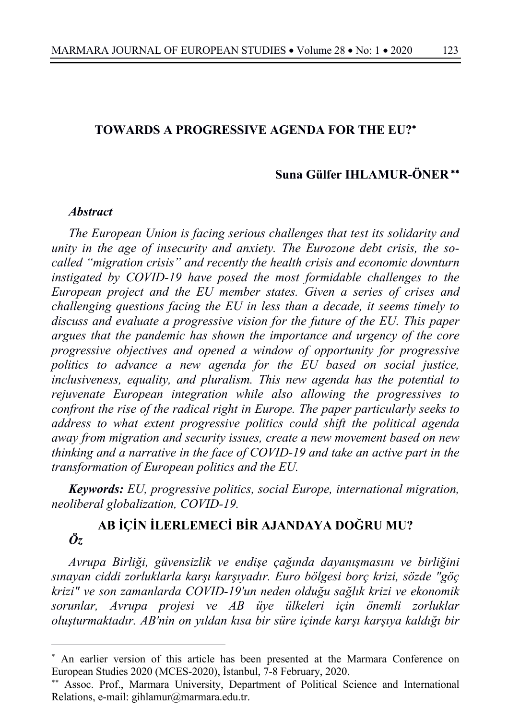## **TOWARDS A PROGRESSIVE AGENDA FOR THE EU?**\*

### **Suna Gülfer IHLAMUR-ÖNER** \*\*

#### *Abstract*

*The European Union is facing serious challenges that test its solidarity and unity in the age of insecurity and anxiety. The Eurozone debt crisis, the socalled "migration crisis" and recently the health crisis and economic downturn instigated by COVID-19 have posed the most formidable challenges to the European project and the EU member states. Given a series of crises and challenging questions facing the EU in less than a decade, it seems timely to discuss and evaluate a progressive vision for the future of the EU. This paper argues that the pandemic has shown the importance and urgency of the core progressive objectives and opened a window of opportunity for progressive politics to advance a new agenda for the EU based on social justice, inclusiveness, equality, and pluralism. This new agenda has the potential to rejuvenate European integration while also allowing the progressives to confront the rise of the radical right in Europe. The paper particularly seeks to address to what extent progressive politics could shift the political agenda away from migration and security issues, create a new movement based on new thinking and a narrative in the face of COVID-19 and take an active part in the transformation of European politics and the EU.*

*Keywords: EU, progressive politics, social Europe, international migration, neoliberal globalization, COVID-19.*

# **AB İÇİN İLERLEMECİ BİR AJANDAYA DOĞRU MU?**  *Öz*

*Avrupa Birliği, güvensizlik ve endişe çağında dayanışmasını ve birliğini sınayan ciddi zorluklarla karşı karşıyadır. Euro bölgesi borç krizi, sözde "göç krizi" ve son zamanlarda COVID-19'un neden olduğu sağlık krizi ve ekonomik sorunlar, Avrupa projesi ve AB üye ülkeleri için önemli zorluklar oluşturmaktadır. AB'nin on yıldan kısa bir süre içinde karşı karşıya kaldığı bir* 

<sup>\*</sup> An earlier version of this article has been presented at the Marmara Conference on European Studies 2020 (MCES-2020), İstanbul, 7-8 February, 2020.

<sup>\*\*</sup> Assoc. Prof., Marmara University, Department of Political Science and International Relations, e-mail: gihlamur@marmara.edu.tr.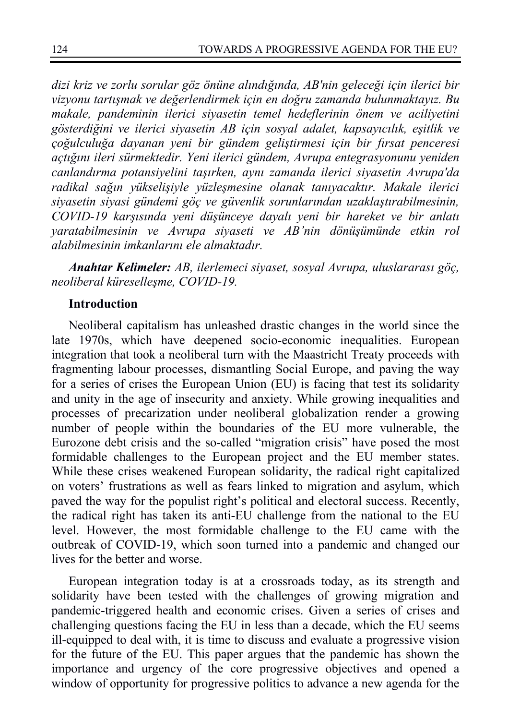*dizi kriz ve zorlu sorular göz önüne alındığında, AB'nin geleceği için ilerici bir vizyonu tartışmak ve değerlendirmek için en doğru zamanda bulunmaktayız. Bu makale, pandeminin ilerici siyasetin temel hedeflerinin önem ve aciliyetini gösterdiğini ve ilerici siyasetin AB için sosyal adalet, kapsayıcılık, eşitlik ve çoğulculuğa dayanan yeni bir gündem geliştirmesi için bir fırsat penceresi açtığını ileri sürmektedir. Yeni ilerici gündem, Avrupa entegrasyonunu yeniden canlandırma potansiyelini taşırken, aynı zamanda ilerici siyasetin Avrupa'da radikal sağın yükselişiyle yüzleşmesine olanak tanıyacaktır. Makale ilerici siyasetin siyasi gündemi göç ve güvenlik sorunlarından uzaklaştırabilmesinin, COVID-19 karşısında yeni düşünceye dayalı yeni bir hareket ve bir anlatı yaratabilmesinin ve Avrupa siyaseti ve AB'nin dönüşümünde etkin rol alabilmesinin imkanlarını ele almaktadır.* 

*Anahtar Kelimeler: AB, ilerlemeci siyaset, sosyal Avrupa, uluslararası göç, neoliberal küreselleşme, COVID-19.*

## **Introduction**

Neoliberal capitalism has unleashed drastic changes in the world since the late 1970s, which have deepened socio-economic inequalities. European integration that took a neoliberal turn with the Maastricht Treaty proceeds with fragmenting labour processes, dismantling Social Europe, and paving the way for a series of crises the European Union (EU) is facing that test its solidarity and unity in the age of insecurity and anxiety. While growing inequalities and processes of precarization under neoliberal globalization render a growing number of people within the boundaries of the EU more vulnerable, the Eurozone debt crisis and the so-called "migration crisis" have posed the most formidable challenges to the European project and the EU member states. While these crises weakened European solidarity, the radical right capitalized on voters' frustrations as well as fears linked to migration and asylum, which paved the way for the populist right's political and electoral success. Recently, the radical right has taken its anti-EU challenge from the national to the EU level. However, the most formidable challenge to the EU came with the outbreak of COVID-19, which soon turned into a pandemic and changed our lives for the better and worse.

European integration today is at a crossroads today, as its strength and solidarity have been tested with the challenges of growing migration and pandemic-triggered health and economic crises. Given a series of crises and challenging questions facing the EU in less than a decade, which the EU seems ill-equipped to deal with, it is time to discuss and evaluate a progressive vision for the future of the EU. This paper argues that the pandemic has shown the importance and urgency of the core progressive objectives and opened a window of opportunity for progressive politics to advance a new agenda for the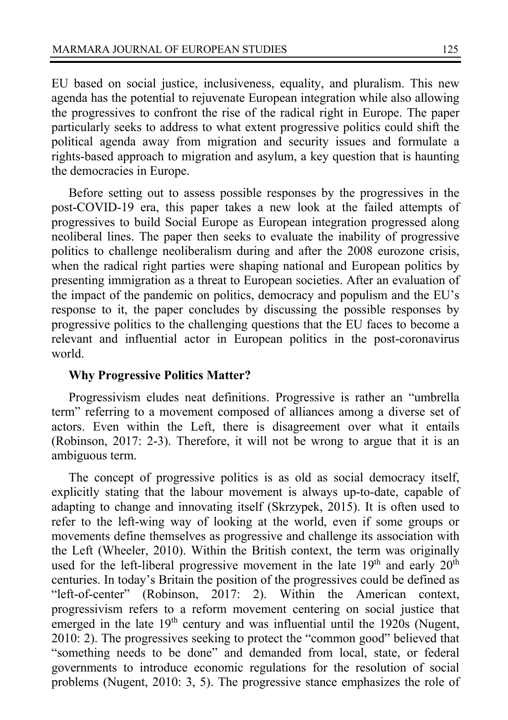EU based on social justice, inclusiveness, equality, and pluralism. This new agenda has the potential to rejuvenate European integration while also allowing the progressives to confront the rise of the radical right in Europe. The paper particularly seeks to address to what extent progressive politics could shift the political agenda away from migration and security issues and formulate a rights-based approach to migration and asylum, a key question that is haunting the democracies in Europe.

Before setting out to assess possible responses by the progressives in the post-COVID-19 era, this paper takes a new look at the failed attempts of progressives to build Social Europe as European integration progressed along neoliberal lines. The paper then seeks to evaluate the inability of progressive politics to challenge neoliberalism during and after the 2008 eurozone crisis, when the radical right parties were shaping national and European politics by presenting immigration as a threat to European societies. After an evaluation of the impact of the pandemic on politics, democracy and populism and the EU's response to it, the paper concludes by discussing the possible responses by progressive politics to the challenging questions that the EU faces to become a relevant and influential actor in European politics in the post-coronavirus world.

### **Why Progressive Politics Matter?**

Progressivism eludes neat definitions. Progressive is rather an "umbrella term" referring to a movement composed of alliances among a diverse set of actors. Even within the Left, there is disagreement over what it entails (Robinson, 2017: 2-3). Therefore, it will not be wrong to argue that it is an ambiguous term.

The concept of progressive politics is as old as social democracy itself, explicitly stating that the labour movement is always up-to-date, capable of adapting to change and innovating itself (Skrzypek, 2015). It is often used to refer to the left-wing way of looking at the world, even if some groups or movements define themselves as progressive and challenge its association with the Left (Wheeler, 2010). Within the British context, the term was originally used for the left-liberal progressive movement in the late  $19<sup>th</sup>$  and early  $20<sup>th</sup>$ centuries. In today's Britain the position of the progressives could be defined as "left-of-center" (Robinson, 2017: 2). Within the American context, progressivism refers to a reform movement centering on social justice that emerged in the late  $19<sup>th</sup>$  century and was influential until the 1920s (Nugent, 2010: 2). The progressives seeking to protect the "common good" believed that "something needs to be done" and demanded from local, state, or federal governments to introduce economic regulations for the resolution of social problems (Nugent, 2010: 3, 5). The progressive stance emphasizes the role of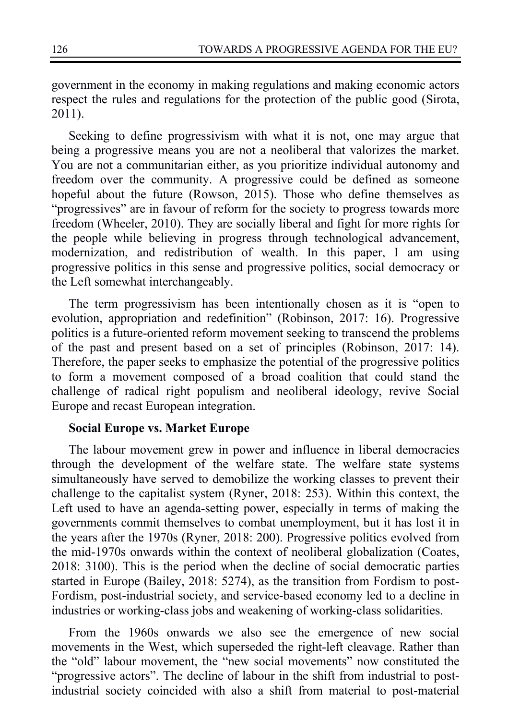government in the economy in making regulations and making economic actors respect the rules and regulations for the protection of the public good (Sirota, 2011).

Seeking to define progressivism with what it is not, one may argue that being a progressive means you are not a neoliberal that valorizes the market. You are not a communitarian either, as you prioritize individual autonomy and freedom over the community. A progressive could be defined as someone hopeful about the future (Rowson, 2015). Those who define themselves as "progressives" are in favour of reform for the society to progress towards more freedom (Wheeler, 2010). They are socially liberal and fight for more rights for the people while believing in progress through technological advancement, modernization, and redistribution of wealth. In this paper, I am using progressive politics in this sense and progressive politics, social democracy or the Left somewhat interchangeably.

The term progressivism has been intentionally chosen as it is "open to evolution, appropriation and redefinition" (Robinson, 2017: 16). Progressive politics is a future-oriented reform movement seeking to transcend the problems of the past and present based on a set of principles (Robinson, 2017: 14). Therefore, the paper seeks to emphasize the potential of the progressive politics to form a movement composed of a broad coalition that could stand the challenge of radical right populism and neoliberal ideology, revive Social Europe and recast European integration.

#### **Social Europe vs. Market Europe**

The labour movement grew in power and influence in liberal democracies through the development of the welfare state. The welfare state systems simultaneously have served to demobilize the working classes to prevent their challenge to the capitalist system (Ryner, 2018: 253). Within this context, the Left used to have an agenda-setting power, especially in terms of making the governments commit themselves to combat unemployment, but it has lost it in the years after the 1970s (Ryner, 2018: 200). Progressive politics evolved from the mid-1970s onwards within the context of neoliberal globalization (Coates, 2018: 3100). This is the period when the decline of social democratic parties started in Europe (Bailey, 2018: 5274), as the transition from Fordism to post-Fordism, post-industrial society, and service-based economy led to a decline in industries or working-class jobs and weakening of working-class solidarities.

From the 1960s onwards we also see the emergence of new social movements in the West, which superseded the right-left cleavage. Rather than the "old" labour movement, the "new social movements" now constituted the "progressive actors". The decline of labour in the shift from industrial to postindustrial society coincided with also a shift from material to post-material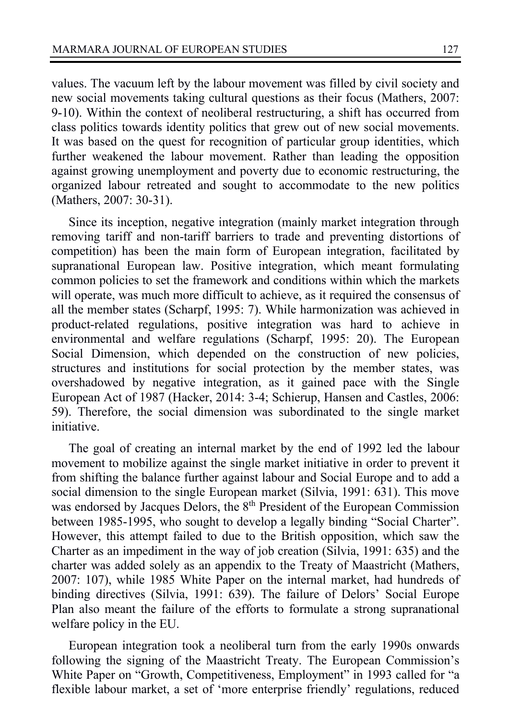values. The vacuum left by the labour movement was filled by civil society and new social movements taking cultural questions as their focus (Mathers, 2007: 9-10). Within the context of neoliberal restructuring, a shift has occurred from class politics towards identity politics that grew out of new social movements. It was based on the quest for recognition of particular group identities, which further weakened the labour movement. Rather than leading the opposition against growing unemployment and poverty due to economic restructuring, the organized labour retreated and sought to accommodate to the new politics (Mathers, 2007: 30-31).

Since its inception, negative integration (mainly market integration through removing tariff and non-tariff barriers to trade and preventing distortions of competition) has been the main form of European integration, facilitated by supranational European law. Positive integration, which meant formulating common policies to set the framework and conditions within which the markets will operate, was much more difficult to achieve, as it required the consensus of all the member states (Scharpf, 1995: 7). While harmonization was achieved in product-related regulations, positive integration was hard to achieve in environmental and welfare regulations (Scharpf, 1995: 20). The European Social Dimension, which depended on the construction of new policies, structures and institutions for social protection by the member states, was overshadowed by negative integration, as it gained pace with the Single European Act of 1987 (Hacker, 2014: 3-4; Schierup, Hansen and Castles, 2006: 59). Therefore, the social dimension was subordinated to the single market initiative.

The goal of creating an internal market by the end of 1992 led the labour movement to mobilize against the single market initiative in order to prevent it from shifting the balance further against labour and Social Europe and to add a social dimension to the single European market (Silvia, 1991: 631). This move was endorsed by Jacques Delors, the 8<sup>th</sup> President of the European Commission between 1985-1995, who sought to develop a legally binding "Social Charter". However, this attempt failed to due to the British opposition, which saw the Charter as an impediment in the way of job creation (Silvia, 1991: 635) and the charter was added solely as an appendix to the Treaty of Maastricht (Mathers, 2007: 107), while 1985 White Paper on the internal market, had hundreds of binding directives (Silvia, 1991: 639). The failure of Delors' Social Europe Plan also meant the failure of the efforts to formulate a strong supranational welfare policy in the EU.

European integration took a neoliberal turn from the early 1990s onwards following the signing of the Maastricht Treaty. The European Commission's White Paper on "Growth, Competitiveness, Employment" in 1993 called for "a flexible labour market, a set of 'more enterprise friendly' regulations, reduced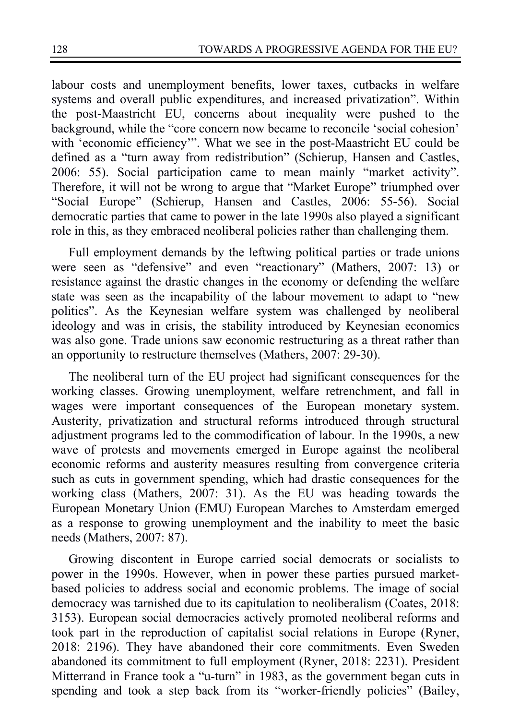labour costs and unemployment benefits, lower taxes, cutbacks in welfare systems and overall public expenditures, and increased privatization". Within the post-Maastricht EU, concerns about inequality were pushed to the background, while the "core concern now became to reconcile 'social cohesion' with 'economic efficiency'". What we see in the post-Maastricht EU could be defined as a "turn away from redistribution" (Schierup, Hansen and Castles, 2006: 55). Social participation came to mean mainly "market activity". Therefore, it will not be wrong to argue that "Market Europe" triumphed over "Social Europe" (Schierup, Hansen and Castles, 2006: 55-56). Social democratic parties that came to power in the late 1990s also played a significant role in this, as they embraced neoliberal policies rather than challenging them.

Full employment demands by the leftwing political parties or trade unions were seen as "defensive" and even "reactionary" (Mathers, 2007: 13) or resistance against the drastic changes in the economy or defending the welfare state was seen as the incapability of the labour movement to adapt to "new politics". As the Keynesian welfare system was challenged by neoliberal ideology and was in crisis, the stability introduced by Keynesian economics was also gone. Trade unions saw economic restructuring as a threat rather than an opportunity to restructure themselves (Mathers, 2007: 29-30).

The neoliberal turn of the EU project had significant consequences for the working classes. Growing unemployment, welfare retrenchment, and fall in wages were important consequences of the European monetary system. Austerity, privatization and structural reforms introduced through structural adjustment programs led to the commodification of labour. In the 1990s, a new wave of protests and movements emerged in Europe against the neoliberal economic reforms and austerity measures resulting from convergence criteria such as cuts in government spending, which had drastic consequences for the working class (Mathers, 2007: 31). As the EU was heading towards the European Monetary Union (EMU) European Marches to Amsterdam emerged as a response to growing unemployment and the inability to meet the basic needs (Mathers, 2007: 87).

Growing discontent in Europe carried social democrats or socialists to power in the 1990s. However, when in power these parties pursued marketbased policies to address social and economic problems. The image of social democracy was tarnished due to its capitulation to neoliberalism (Coates, 2018: 3153). European social democracies actively promoted neoliberal reforms and took part in the reproduction of capitalist social relations in Europe (Ryner, 2018: 2196). They have abandoned their core commitments. Even Sweden abandoned its commitment to full employment (Ryner, 2018: 2231). President Mitterrand in France took a "u-turn" in 1983, as the government began cuts in spending and took a step back from its "worker-friendly policies" (Bailey,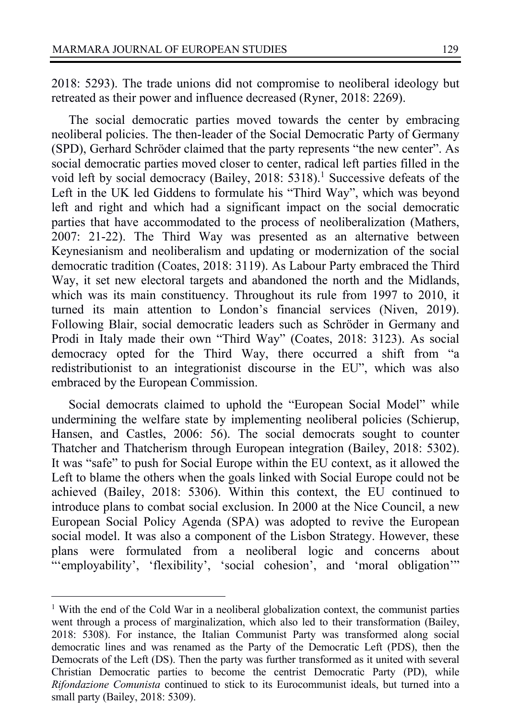2018: 5293). The trade unions did not compromise to neoliberal ideology but retreated as their power and influence decreased (Ryner, 2018: 2269).

The social democratic parties moved towards the center by embracing neoliberal policies. The then-leader of the Social Democratic Party of Germany (SPD), Gerhard Schröder claimed that the party represents "the new center". As social democratic parties moved closer to center, radical left parties filled in the void left by social democracy (Bailey, 2018: 5318).<sup>1</sup> Successive defeats of the Left in the UK led Giddens to formulate his "Third Way", which was beyond left and right and which had a significant impact on the social democratic parties that have accommodated to the process of neoliberalization (Mathers, 2007: 21-22). The Third Way was presented as an alternative between Keynesianism and neoliberalism and updating or modernization of the social democratic tradition (Coates, 2018: 3119). As Labour Party embraced the Third Way, it set new electoral targets and abandoned the north and the Midlands, which was its main constituency. Throughout its rule from 1997 to 2010, it turned its main attention to London's financial services (Niven, 2019). Following Blair, social democratic leaders such as Schröder in Germany and Prodi in Italy made their own "Third Way" (Coates, 2018: 3123). As social democracy opted for the Third Way, there occurred a shift from "a redistributionist to an integrationist discourse in the EU", which was also embraced by the European Commission.

Social democrats claimed to uphold the "European Social Model" while undermining the welfare state by implementing neoliberal policies (Schierup, Hansen, and Castles, 2006: 56). The social democrats sought to counter Thatcher and Thatcherism through European integration (Bailey, 2018: 5302). It was "safe" to push for Social Europe within the EU context, as it allowed the Left to blame the others when the goals linked with Social Europe could not be achieved (Bailey, 2018: 5306). Within this context, the EU continued to introduce plans to combat social exclusion. In 2000 at the Nice Council, a new European Social Policy Agenda (SPA) was adopted to revive the European social model. It was also a component of the Lisbon Strategy. However, these plans were formulated from a neoliberal logic and concerns about "'employability', 'flexibility', 'social cohesion', and 'moral obligation'"

<sup>&</sup>lt;sup>1</sup> With the end of the Cold War in a neoliberal globalization context, the communist parties went through a process of marginalization, which also led to their transformation (Bailey, 2018: 5308). For instance, the Italian Communist Party was transformed along social democratic lines and was renamed as the Party of the Democratic Left (PDS), then the Democrats of the Left (DS). Then the party was further transformed as it united with several Christian Democratic parties to become the centrist Democratic Party (PD), while *Rifondazione Comunista* continued to stick to its Eurocommunist ideals, but turned into a small party (Bailey, 2018: 5309).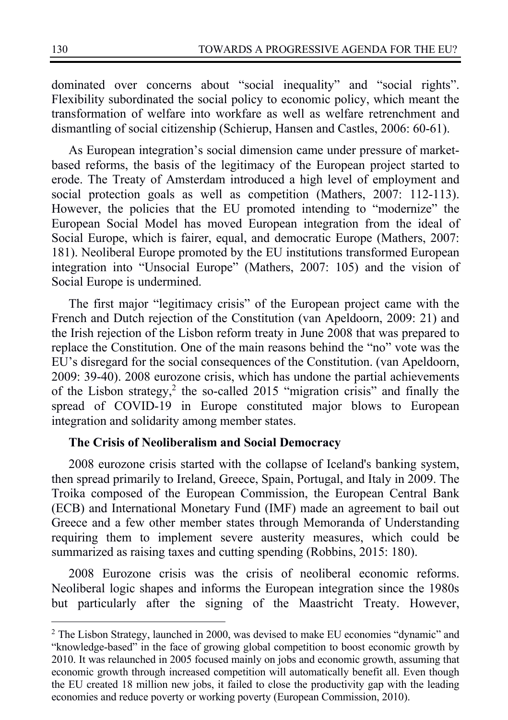dominated over concerns about "social inequality" and "social rights". Flexibility subordinated the social policy to economic policy, which meant the transformation of welfare into workfare as well as welfare retrenchment and dismantling of social citizenship (Schierup, Hansen and Castles, 2006: 60-61).

As European integration's social dimension came under pressure of marketbased reforms, the basis of the legitimacy of the European project started to erode. The Treaty of Amsterdam introduced a high level of employment and social protection goals as well as competition (Mathers, 2007: 112-113). However, the policies that the EU promoted intending to "modernize" the European Social Model has moved European integration from the ideal of Social Europe, which is fairer, equal, and democratic Europe (Mathers, 2007: 181). Neoliberal Europe promoted by the EU institutions transformed European integration into "Unsocial Europe" (Mathers, 2007: 105) and the vision of Social Europe is undermined.

The first major "legitimacy crisis" of the European project came with the French and Dutch rejection of the Constitution (van Apeldoorn, 2009: 21) and the Irish rejection of the Lisbon reform treaty in June 2008 that was prepared to replace the Constitution. One of the main reasons behind the "no" vote was the EU's disregard for the social consequences of the Constitution. (van Apeldoorn, 2009: 39-40). 2008 eurozone crisis, which has undone the partial achievements of the Lisbon strategy,<sup>2</sup> the so-called 2015 "migration crisis" and finally the spread of COVID-19 in Europe constituted major blows to European integration and solidarity among member states.

### **The Crisis of Neoliberalism and Social Democracy**

2008 eurozone crisis started with the collapse of Iceland's banking system, then spread primarily to Ireland, Greece, Spain, Portugal, and Italy in 2009. The Troika composed of the European Commission, the European Central Bank (ECB) and International Monetary Fund (IMF) made an agreement to bail out Greece and a few other member states through Memoranda of Understanding requiring them to implement severe austerity measures, which could be summarized as raising taxes and cutting spending (Robbins, 2015: 180).

2008 Eurozone crisis was the crisis of neoliberal economic reforms. Neoliberal logic shapes and informs the European integration since the 1980s but particularly after the signing of the Maastricht Treaty. However,

<sup>&</sup>lt;sup>2</sup> The Lisbon Strategy, launched in 2000, was devised to make EU economies "dynamic" and "knowledge-based" in the face of growing global competition to boost economic growth by 2010. It was relaunched in 2005 focused mainly on jobs and economic growth, assuming that economic growth through increased competition will automatically benefit all. Even though the EU created 18 million new jobs, it failed to close the productivity gap with the leading economies and reduce poverty or working poverty (European Commission, 2010).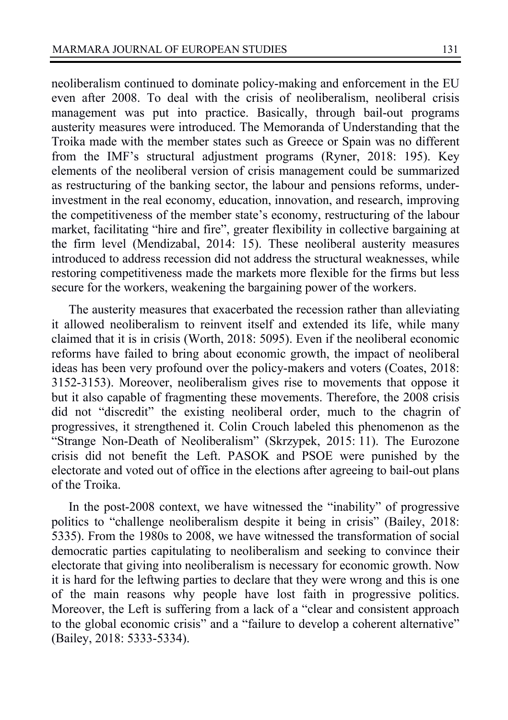neoliberalism continued to dominate policy-making and enforcement in the EU even after 2008. To deal with the crisis of neoliberalism, neoliberal crisis management was put into practice. Basically, through bail-out programs austerity measures were introduced. The Memoranda of Understanding that the Troika made with the member states such as Greece or Spain was no different from the IMF's structural adjustment programs (Ryner, 2018: 195). Key elements of the neoliberal version of crisis management could be summarized as restructuring of the banking sector, the labour and pensions reforms, underinvestment in the real economy, education, innovation, and research, improving the competitiveness of the member state's economy, restructuring of the labour market, facilitating "hire and fire", greater flexibility in collective bargaining at the firm level (Mendizabal, 2014: 15). These neoliberal austerity measures introduced to address recession did not address the structural weaknesses, while restoring competitiveness made the markets more flexible for the firms but less secure for the workers, weakening the bargaining power of the workers.

The austerity measures that exacerbated the recession rather than alleviating it allowed neoliberalism to reinvent itself and extended its life, while many claimed that it is in crisis (Worth, 2018: 5095). Even if the neoliberal economic reforms have failed to bring about economic growth, the impact of neoliberal ideas has been very profound over the policy-makers and voters (Coates, 2018: 3152-3153). Moreover, neoliberalism gives rise to movements that oppose it but it also capable of fragmenting these movements. Therefore, the 2008 crisis did not "discredit" the existing neoliberal order, much to the chagrin of progressives, it strengthened it. Colin Crouch labeled this phenomenon as the "Strange Non-Death of Neoliberalism" (Skrzypek, 2015: 11). The Eurozone crisis did not benefit the Left. PASOK and PSOE were punished by the electorate and voted out of office in the elections after agreeing to bail-out plans of the Troika.

In the post-2008 context, we have witnessed the "inability" of progressive politics to "challenge neoliberalism despite it being in crisis" (Bailey, 2018: 5335). From the 1980s to 2008, we have witnessed the transformation of social democratic parties capitulating to neoliberalism and seeking to convince their electorate that giving into neoliberalism is necessary for economic growth. Now it is hard for the leftwing parties to declare that they were wrong and this is one of the main reasons why people have lost faith in progressive politics. Moreover, the Left is suffering from a lack of a "clear and consistent approach to the global economic crisis" and a "failure to develop a coherent alternative" (Bailey, 2018: 5333-5334).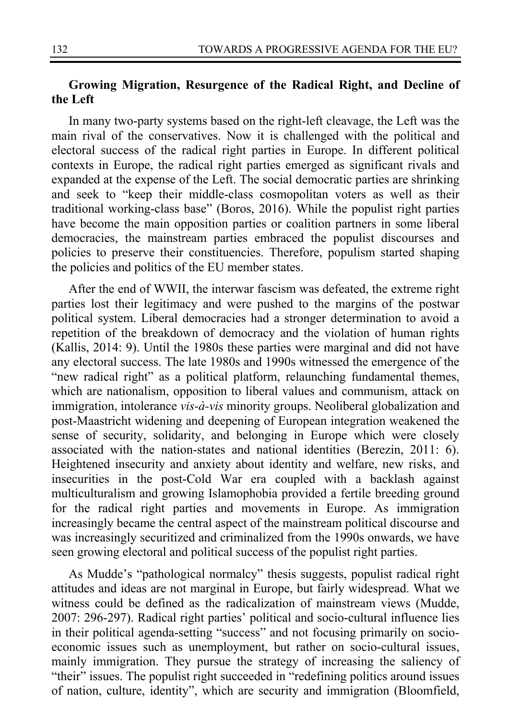## **Growing Migration, Resurgence of the Radical Right, and Decline of the Left**

In many two-party systems based on the right-left cleavage, the Left was the main rival of the conservatives. Now it is challenged with the political and electoral success of the radical right parties in Europe. In different political contexts in Europe, the radical right parties emerged as significant rivals and expanded at the expense of the Left. The social democratic parties are shrinking and seek to "keep their middle-class cosmopolitan voters as well as their traditional working-class base" (Boros, 2016). While the populist right parties have become the main opposition parties or coalition partners in some liberal democracies, the mainstream parties embraced the populist discourses and policies to preserve their constituencies. Therefore, populism started shaping the policies and politics of the EU member states.

After the end of WWII, the interwar fascism was defeated, the extreme right parties lost their legitimacy and were pushed to the margins of the postwar political system. Liberal democracies had a stronger determination to avoid a repetition of the breakdown of democracy and the violation of human rights (Kallis, 2014: 9). Until the 1980s these parties were marginal and did not have any electoral success. The late 1980s and 1990s witnessed the emergence of the "new radical right" as a political platform, relaunching fundamental themes, which are nationalism, opposition to liberal values and communism, attack on immigration, intolerance *vis-à-vis* minority groups. Neoliberal globalization and post-Maastricht widening and deepening of European integration weakened the sense of security, solidarity, and belonging in Europe which were closely associated with the nation-states and national identities (Berezin, 2011: 6). Heightened insecurity and anxiety about identity and welfare, new risks, and insecurities in the post-Cold War era coupled with a backlash against multiculturalism and growing Islamophobia provided a fertile breeding ground for the radical right parties and movements in Europe. As immigration increasingly became the central aspect of the mainstream political discourse and was increasingly securitized and criminalized from the 1990s onwards, we have seen growing electoral and political success of the populist right parties.

As Mudde's "pathological normalcy" thesis suggests, populist radical right attitudes and ideas are not marginal in Europe, but fairly widespread. What we witness could be defined as the radicalization of mainstream views (Mudde, 2007: 296-297). Radical right parties' political and socio-cultural influence lies in their political agenda-setting "success" and not focusing primarily on socioeconomic issues such as unemployment, but rather on socio-cultural issues, mainly immigration. They pursue the strategy of increasing the saliency of "their" issues. The populist right succeeded in "redefining politics around issues of nation, culture, identity", which are security and immigration (Bloomfield,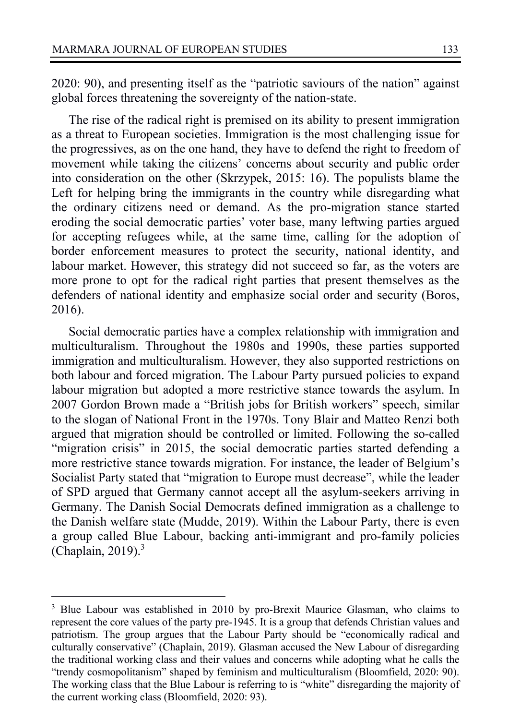2020: 90), and presenting itself as the "patriotic saviours of the nation" against global forces threatening the sovereignty of the nation-state.

The rise of the radical right is premised on its ability to present immigration as a threat to European societies. Immigration is the most challenging issue for the progressives, as on the one hand, they have to defend the right to freedom of movement while taking the citizens' concerns about security and public order into consideration on the other (Skrzypek, 2015: 16). The populists blame the Left for helping bring the immigrants in the country while disregarding what the ordinary citizens need or demand. As the pro-migration stance started eroding the social democratic parties' voter base, many leftwing parties argued for accepting refugees while, at the same time, calling for the adoption of border enforcement measures to protect the security, national identity, and labour market. However, this strategy did not succeed so far, as the voters are more prone to opt for the radical right parties that present themselves as the defenders of national identity and emphasize social order and security (Boros, 2016).

Social democratic parties have a complex relationship with immigration and multiculturalism. Throughout the 1980s and 1990s, these parties supported immigration and multiculturalism. However, they also supported restrictions on both labour and forced migration. The Labour Party pursued policies to expand labour migration but adopted a more restrictive stance towards the asylum. In 2007 Gordon Brown made a "British jobs for British workers" speech, similar to the slogan of National Front in the 1970s. Tony Blair and Matteo Renzi both argued that migration should be controlled or limited. Following the so-called "migration crisis" in 2015, the social democratic parties started defending a more restrictive stance towards migration. For instance, the leader of Belgium's Socialist Party stated that "migration to Europe must decrease", while the leader of SPD argued that Germany cannot accept all the asylum-seekers arriving in Germany. The Danish Social Democrats defined immigration as a challenge to the Danish welfare state (Mudde, 2019). Within the Labour Party, there is even a group called Blue Labour, backing anti-immigrant and pro-family policies (Chaplain,  $2019$ ).<sup>3</sup>

<sup>&</sup>lt;sup>3</sup> Blue Labour was established in 2010 by pro-Brexit Maurice Glasman, who claims to represent the core values of the party pre-1945. It is a group that defends Christian values and patriotism. The group argues that the Labour Party should be "economically radical and culturally conservative" (Chaplain, 2019). Glasman accused the New Labour of disregarding the traditional working class and their values and concerns while adopting what he calls the "trendy cosmopolitanism" shaped by feminism and multiculturalism (Bloomfield, 2020: 90). The working class that the Blue Labour is referring to is "white" disregarding the majority of the current working class (Bloomfield, 2020: 93).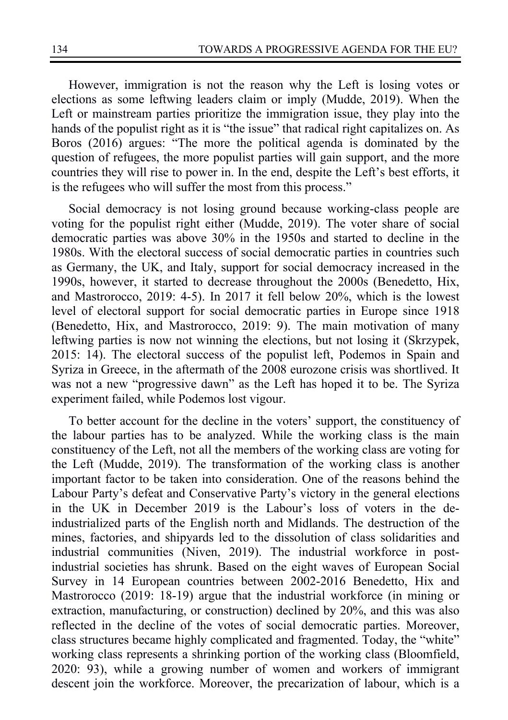However, immigration is not the reason why the Left is losing votes or elections as some leftwing leaders claim or imply (Mudde, 2019). When the Left or mainstream parties prioritize the immigration issue, they play into the hands of the populist right as it is "the issue" that radical right capitalizes on. As Boros (2016) argues: "The more the political agenda is dominated by the question of refugees, the more populist parties will gain support, and the more countries they will rise to power in. In the end, despite the Left's best efforts, it is the refugees who will suffer the most from this process."

Social democracy is not losing ground because working-class people are voting for the populist right either (Mudde, 2019). The voter share of social democratic parties was above 30% in the 1950s and started to decline in the 1980s. With the electoral success of social democratic parties in countries such as Germany, the UK, and Italy, support for social democracy increased in the 1990s, however, it started to decrease throughout the 2000s (Benedetto, Hix, and Mastrorocco, 2019: 4-5). In 2017 it fell below 20%, which is the lowest level of electoral support for social democratic parties in Europe since 1918 (Benedetto, Hix, and Mastrorocco, 2019: 9). The main motivation of many leftwing parties is now not winning the elections, but not losing it (Skrzypek, 2015: 14). The electoral success of the populist left, Podemos in Spain and Syriza in Greece, in the aftermath of the 2008 eurozone crisis was shortlived. It was not a new "progressive dawn" as the Left has hoped it to be. The Syriza experiment failed, while Podemos lost vigour.

To better account for the decline in the voters' support, the constituency of the labour parties has to be analyzed. While the working class is the main constituency of the Left, not all the members of the working class are voting for the Left (Mudde, 2019). The transformation of the working class is another important factor to be taken into consideration. One of the reasons behind the Labour Party's defeat and Conservative Party's victory in the general elections in the UK in December 2019 is the Labour's loss of voters in the deindustrialized parts of the English north and Midlands. The destruction of the mines, factories, and shipyards led to the dissolution of class solidarities and industrial communities (Niven, 2019). The industrial workforce in postindustrial societies has shrunk. Based on the eight waves of European Social Survey in 14 European countries between 2002-2016 Benedetto, Hix and Mastrorocco (2019: 18-19) argue that the industrial workforce (in mining or extraction, manufacturing, or construction) declined by 20%, and this was also reflected in the decline of the votes of social democratic parties. Moreover, class structures became highly complicated and fragmented. Today, the "white" working class represents a shrinking portion of the working class (Bloomfield, 2020: 93), while a growing number of women and workers of immigrant descent join the workforce. Moreover, the precarization of labour, which is a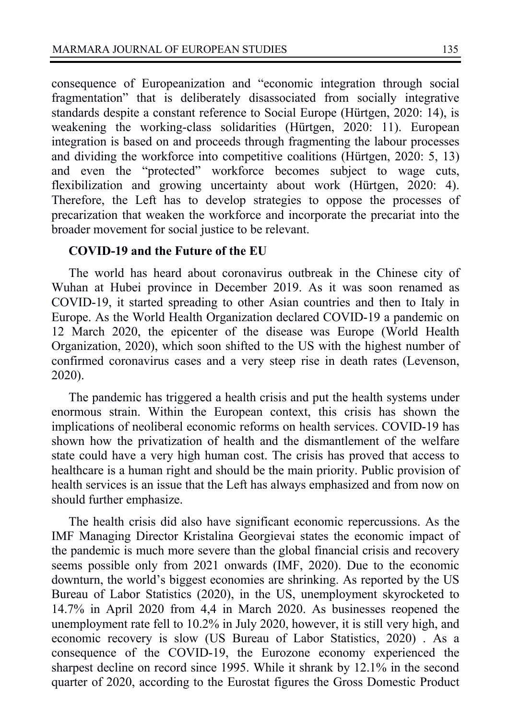consequence of Europeanization and "economic integration through social fragmentation" that is deliberately disassociated from socially integrative standards despite a constant reference to Social Europe (Hürtgen, 2020: 14), is weakening the working-class solidarities (Hürtgen, 2020: 11). European integration is based on and proceeds through fragmenting the labour processes and dividing the workforce into competitive coalitions (Hürtgen, 2020: 5, 13) and even the "protected" workforce becomes subject to wage cuts, flexibilization and growing uncertainty about work (Hürtgen, 2020: 4). Therefore, the Left has to develop strategies to oppose the processes of precarization that weaken the workforce and incorporate the precariat into the broader movement for social justice to be relevant.

### **COVID-19 and the Future of the EU**

The world has heard about coronavirus outbreak in the Chinese city of Wuhan at Hubei province in December 2019. As it was soon renamed as COVID-19, it started spreading to other Asian countries and then to Italy in Europe. As the World Health Organization declared COVID-19 a pandemic on 12 March 2020, the epicenter of the disease was Europe (World Health Organization, 2020), which soon shifted to the US with the highest number of confirmed coronavirus cases and a very steep rise in death rates (Levenson, 2020).

The pandemic has triggered a health crisis and put the health systems under enormous strain. Within the European context, this crisis has shown the implications of neoliberal economic reforms on health services. COVID-19 has shown how the privatization of health and the dismantlement of the welfare state could have a very high human cost. The crisis has proved that access to healthcare is a human right and should be the main priority. Public provision of health services is an issue that the Left has always emphasized and from now on should further emphasize.

The health crisis did also have significant economic repercussions. As the IMF Managing Director Kristalina Georgievai states the economic impact of the pandemic is much more severe than the global financial crisis and recovery seems possible only from 2021 onwards (IMF, 2020). Due to the economic downturn, the world's biggest economies are shrinking. As reported by the US Bureau of Labor Statistics (2020), in the US, unemployment skyrocketed to 14.7% in April 2020 from 4,4 in March 2020. As businesses reopened the unemployment rate fell to 10.2% in July 2020, however, it is still very high, and economic recovery is slow (US Bureau of Labor Statistics, 2020) . As a consequence of the COVID-19, the Eurozone economy experienced the sharpest decline on record since 1995. While it shrank by 12.1% in the second quarter of 2020, according to the Eurostat figures the Gross Domestic Product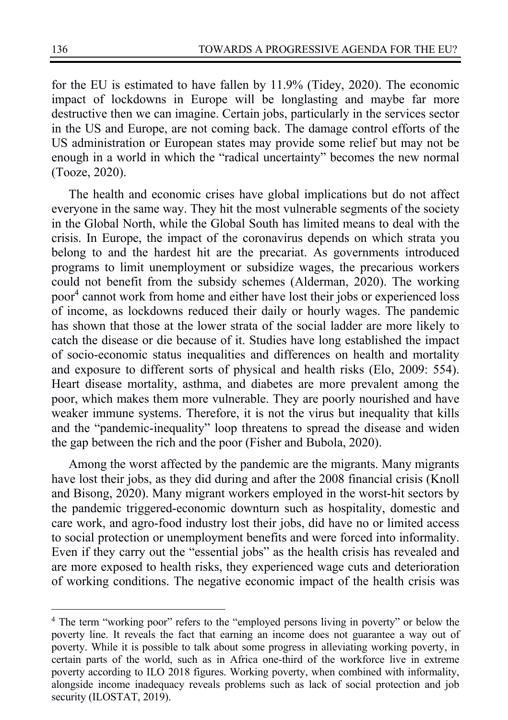for the EU is estimated to have fallen by 11.9% (Tidey, 2020). The economic impact of lockdowns in Europe will be longlasting and maybe far more destructive then we can imagine. Certain jobs, particularly in the services sector in the US and Europe, are not coming back. The damage control efforts of the US administration or European states may provide some relief but may not be enough in a world in which the "radical uncertainty" becomes the new normal (Tooze, 2020).

The health and economic crises have global implications but do not affect everyone in the same way. They hit the most vulnerable segments of the society in the Global North, while the Global South has limited means to deal with the crisis. In Europe, the impact of the coronavirus depends on which strata you belong to and the hardest hit are the precariat. As governments introduced programs to limit unemployment or subsidize wages, the precarious workers could not benefit from the subsidy schemes (Alderman, 2020). The working poor4 cannot work from home and either have lost their jobs or experienced loss of income, as lockdowns reduced their daily or hourly wages. The pandemic has shown that those at the lower strata of the social ladder are more likely to catch the disease or die because of it. Studies have long established the impact of socio-economic status inequalities and differences on health and mortality and exposure to different sorts of physical and health risks (Elo, 2009: 554). Heart disease mortality, asthma, and diabetes are more prevalent among the poor, which makes them more vulnerable. They are poorly nourished and have weaker immune systems. Therefore, it is not the virus but inequality that kills and the "pandemic-inequality" loop threatens to spread the disease and widen the gap between the rich and the poor (Fisher and Bubola, 2020).

Among the worst affected by the pandemic are the migrants. Many migrants have lost their jobs, as they did during and after the 2008 financial crisis (Knoll and Bisong, 2020). Many migrant workers employed in the worst-hit sectors by the pandemic triggered-economic downturn such as hospitality, domestic and care work, and agro-food industry lost their jobs, did have no or limited access to social protection or unemployment benefits and were forced into informality. Even if they carry out the "essential jobs" as the health crisis has revealed and are more exposed to health risks, they experienced wage cuts and deterioration of working conditions. The negative economic impact of the health crisis was

<sup>&</sup>lt;sup>4</sup> The term "working poor" refers to the "employed persons living in poverty" or below the poverty line. It reveals the fact that earning an income does not guarantee a way out of poverty. While it is possible to talk about some progress in alleviating working poverty, in certain parts of the world, such as in Africa one-third of the workforce live in extreme poverty according to ILO 2018 figures. Working poverty, when combined with informality, alongside income inadequacy reveals problems such as lack of social protection and job security (ILOSTAT, 2019).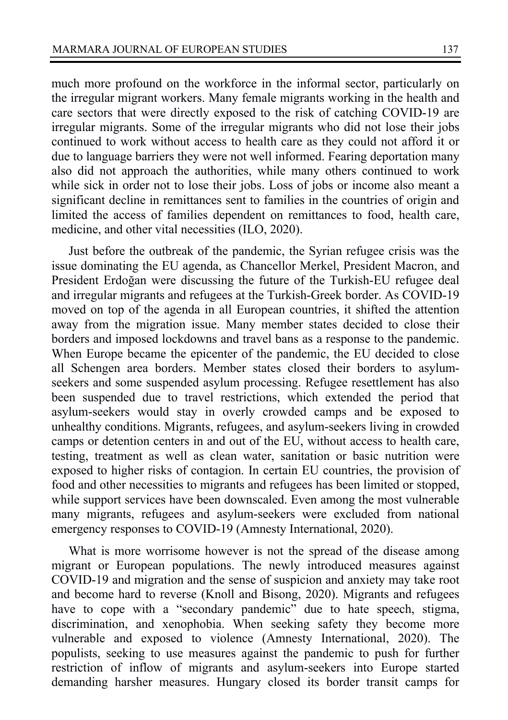much more profound on the workforce in the informal sector, particularly on the irregular migrant workers. Many female migrants working in the health and care sectors that were directly exposed to the risk of catching COVID-19 are irregular migrants. Some of the irregular migrants who did not lose their jobs continued to work without access to health care as they could not afford it or due to language barriers they were not well informed. Fearing deportation many also did not approach the authorities, while many others continued to work while sick in order not to lose their jobs. Loss of jobs or income also meant a significant decline in remittances sent to families in the countries of origin and limited the access of families dependent on remittances to food, health care, medicine, and other vital necessities (ILO, 2020).

Just before the outbreak of the pandemic, the Syrian refugee crisis was the issue dominating the EU agenda, as Chancellor Merkel, President Macron, and President Erdoğan were discussing the future of the Turkish-EU refugee deal and irregular migrants and refugees at the Turkish-Greek border. As COVID-19 moved on top of the agenda in all European countries, it shifted the attention away from the migration issue. Many member states decided to close their borders and imposed lockdowns and travel bans as a response to the pandemic. When Europe became the epicenter of the pandemic, the EU decided to close all Schengen area borders. Member states closed their borders to asylumseekers and some suspended asylum processing. Refugee resettlement has also been suspended due to travel restrictions, which extended the period that asylum-seekers would stay in overly crowded camps and be exposed to unhealthy conditions. Migrants, refugees, and asylum-seekers living in crowded camps or detention centers in and out of the EU, without access to health care, testing, treatment as well as clean water, sanitation or basic nutrition were exposed to higher risks of contagion. In certain EU countries, the provision of food and other necessities to migrants and refugees has been limited or stopped, while support services have been downscaled. Even among the most vulnerable many migrants, refugees and asylum-seekers were excluded from national emergency responses to COVID-19 (Amnesty International, 2020).

What is more worrisome however is not the spread of the disease among migrant or European populations. The newly introduced measures against COVID-19 and migration and the sense of suspicion and anxiety may take root and become hard to reverse (Knoll and Bisong, 2020). Migrants and refugees have to cope with a "secondary pandemic" due to hate speech, stigma, discrimination, and xenophobia. When seeking safety they become more vulnerable and exposed to violence (Amnesty International, 2020). The populists, seeking to use measures against the pandemic to push for further restriction of inflow of migrants and asylum-seekers into Europe started demanding harsher measures. Hungary closed its border transit camps for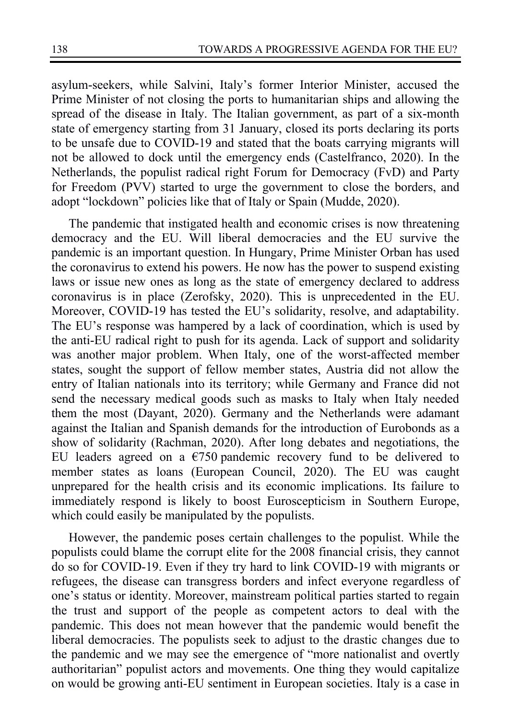asylum-seekers, while Salvini, Italy's former Interior Minister, accused the Prime Minister of not closing the ports to humanitarian ships and allowing the spread of the disease in Italy. The Italian government, as part of a six-month state of emergency starting from 31 January, closed its ports declaring its ports to be unsafe due to COVID-19 and stated that the boats carrying migrants will not be allowed to dock until the emergency ends (Castelfranco, 2020). In the Netherlands, the populist radical right Forum for Democracy (FvD) and Party for Freedom (PVV) started to urge the government to close the borders, and adopt "lockdown" policies like that of Italy or Spain (Mudde, 2020).

The pandemic that instigated health and economic crises is now threatening democracy and the EU. Will liberal democracies and the EU survive the pandemic is an important question. In Hungary, Prime Minister Orban has used the coronavirus to extend his powers. He now has the power to suspend existing laws or issue new ones as long as the state of emergency declared to address coronavirus is in place (Zerofsky, 2020). This is unprecedented in the EU. Moreover, COVID-19 has tested the EU's solidarity, resolve, and adaptability. The EU's response was hampered by a lack of coordination, which is used by the anti-EU radical right to push for its agenda. Lack of support and solidarity was another major problem. When Italy, one of the worst-affected member states, sought the support of fellow member states, Austria did not allow the entry of Italian nationals into its territory; while Germany and France did not send the necessary medical goods such as masks to Italy when Italy needed them the most (Dayant, 2020). Germany and the Netherlands were adamant against the Italian and Spanish demands for the introduction of Eurobonds as a show of solidarity (Rachman, 2020). After long debates and negotiations, the EU leaders agreed on a  $\epsilon$ 750 pandemic recovery fund to be delivered to member states as loans (European Council, 2020). The EU was caught unprepared for the health crisis and its economic implications. Its failure to immediately respond is likely to boost Euroscepticism in Southern Europe, which could easily be manipulated by the populists.

However, the pandemic poses certain challenges to the populist. While the populists could blame the corrupt elite for the 2008 financial crisis, they cannot do so for COVID-19. Even if they try hard to link COVID-19 with migrants or refugees, the disease can transgress borders and infect everyone regardless of one's status or identity. Moreover, mainstream political parties started to regain the trust and support of the people as competent actors to deal with the pandemic. This does not mean however that the pandemic would benefit the liberal democracies. The populists seek to adjust to the drastic changes due to the pandemic and we may see the emergence of "more nationalist and overtly authoritarian" populist actors and movements. One thing they would capitalize on would be growing anti-EU sentiment in European societies. Italy is a case in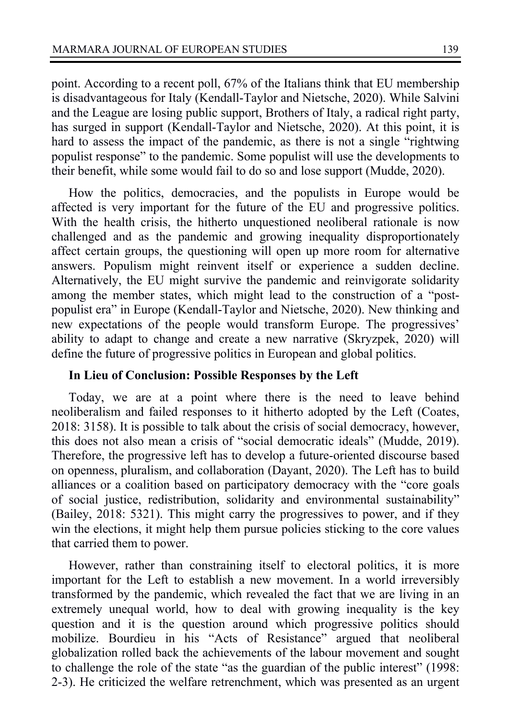point. According to a recent poll, 67% of the Italians think that EU membership is disadvantageous for Italy (Kendall-Taylor and Nietsche, 2020). While Salvini and the League are losing public support, Brothers of Italy, a radical right party, has surged in support (Kendall-Taylor and Nietsche, 2020). At this point, it is hard to assess the impact of the pandemic, as there is not a single "rightwing populist response" to the pandemic. Some populist will use the developments to their benefit, while some would fail to do so and lose support (Mudde, 2020).

How the politics, democracies, and the populists in Europe would be affected is very important for the future of the EU and progressive politics. With the health crisis, the hitherto unquestioned neoliberal rationale is now challenged and as the pandemic and growing inequality disproportionately affect certain groups, the questioning will open up more room for alternative answers. Populism might reinvent itself or experience a sudden decline. Alternatively, the EU might survive the pandemic and reinvigorate solidarity among the member states, which might lead to the construction of a "postpopulist era" in Europe (Kendall-Taylor and Nietsche, 2020). New thinking and new expectations of the people would transform Europe. The progressives' ability to adapt to change and create a new narrative (Skryzpek, 2020) will define the future of progressive politics in European and global politics.

## **In Lieu of Conclusion: Possible Responses by the Left**

Today, we are at a point where there is the need to leave behind neoliberalism and failed responses to it hitherto adopted by the Left (Coates, 2018: 3158). It is possible to talk about the crisis of social democracy, however, this does not also mean a crisis of "social democratic ideals" (Mudde, 2019). Therefore, the progressive left has to develop a future-oriented discourse based on openness, pluralism, and collaboration (Dayant, 2020). The Left has to build alliances or a coalition based on participatory democracy with the "core goals of social justice, redistribution, solidarity and environmental sustainability" (Bailey, 2018: 5321). This might carry the progressives to power, and if they win the elections, it might help them pursue policies sticking to the core values that carried them to power.

However, rather than constraining itself to electoral politics, it is more important for the Left to establish a new movement. In a world irreversibly transformed by the pandemic, which revealed the fact that we are living in an extremely unequal world, how to deal with growing inequality is the key question and it is the question around which progressive politics should mobilize. Bourdieu in his "Acts of Resistance" argued that neoliberal globalization rolled back the achievements of the labour movement and sought to challenge the role of the state "as the guardian of the public interest" (1998: 2-3). He criticized the welfare retrenchment, which was presented as an urgent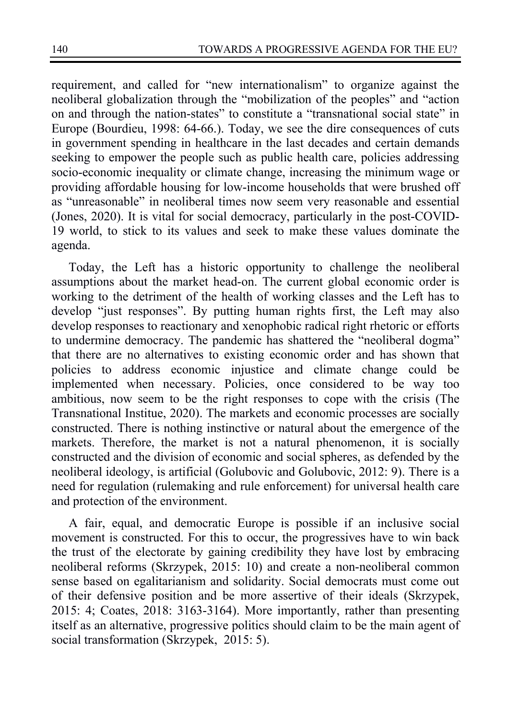requirement, and called for "new internationalism" to organize against the neoliberal globalization through the "mobilization of the peoples" and "action on and through the nation-states" to constitute a "transnational social state" in Europe (Bourdieu, 1998: 64-66.). Today, we see the dire consequences of cuts in government spending in healthcare in the last decades and certain demands seeking to empower the people such as public health care, policies addressing socio-economic inequality or climate change, increasing the minimum wage or providing affordable housing for low-income households that were brushed off as "unreasonable" in neoliberal times now seem very reasonable and essential (Jones, 2020). It is vital for social democracy, particularly in the post-COVID-19 world, to stick to its values and seek to make these values dominate the agenda.

Today, the Left has a historic opportunity to challenge the neoliberal assumptions about the market head-on. The current global economic order is working to the detriment of the health of working classes and the Left has to develop "just responses". By putting human rights first, the Left may also develop responses to reactionary and xenophobic radical right rhetoric or efforts to undermine democracy. The pandemic has shattered the "neoliberal dogma" that there are no alternatives to existing economic order and has shown that policies to address economic injustice and climate change could be implemented when necessary. Policies, once considered to be way too ambitious, now seem to be the right responses to cope with the crisis (The Transnational Institue, 2020). The markets and economic processes are socially constructed. There is nothing instinctive or natural about the emergence of the markets. Therefore, the market is not a natural phenomenon, it is socially constructed and the division of economic and social spheres, as defended by the neoliberal ideology, is artificial (Golubovic and Golubovic, 2012: 9). There is a need for regulation (rulemaking and rule enforcement) for universal health care and protection of the environment.

A fair, equal, and democratic Europe is possible if an inclusive social movement is constructed. For this to occur, the progressives have to win back the trust of the electorate by gaining credibility they have lost by embracing neoliberal reforms (Skrzypek, 2015: 10) and create a non-neoliberal common sense based on egalitarianism and solidarity. Social democrats must come out of their defensive position and be more assertive of their ideals (Skrzypek, 2015: 4; Coates, 2018: 3163-3164). More importantly, rather than presenting itself as an alternative, progressive politics should claim to be the main agent of social transformation (Skrzypek, 2015: 5).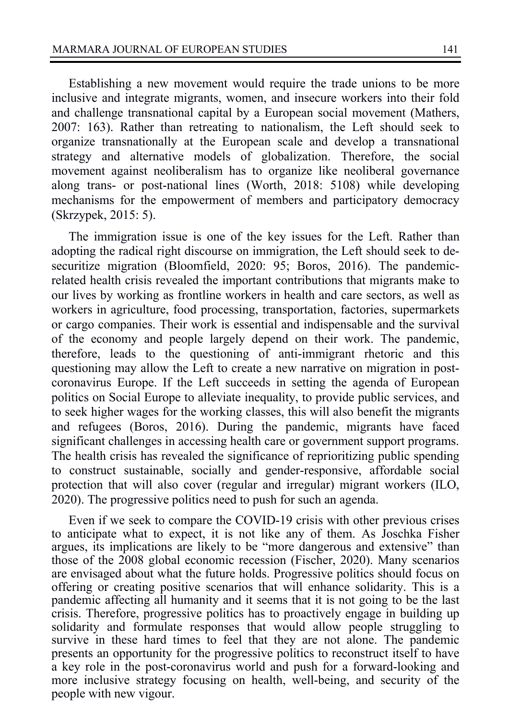Establishing a new movement would require the trade unions to be more inclusive and integrate migrants, women, and insecure workers into their fold and challenge transnational capital by a European social movement (Mathers, 2007: 163). Rather than retreating to nationalism, the Left should seek to organize transnationally at the European scale and develop a transnational strategy and alternative models of globalization. Therefore, the social movement against neoliberalism has to organize like neoliberal governance along trans- or post-national lines (Worth, 2018: 5108) while developing mechanisms for the empowerment of members and participatory democracy (Skrzypek, 2015: 5).

The immigration issue is one of the key issues for the Left. Rather than adopting the radical right discourse on immigration, the Left should seek to desecuritize migration (Bloomfield, 2020: 95; Boros, 2016). The pandemicrelated health crisis revealed the important contributions that migrants make to our lives by working as frontline workers in health and care sectors, as well as workers in agriculture, food processing, transportation, factories, supermarkets or cargo companies. Their work is essential and indispensable and the survival of the economy and people largely depend on their work. The pandemic, therefore, leads to the questioning of anti-immigrant rhetoric and this questioning may allow the Left to create a new narrative on migration in postcoronavirus Europe. If the Left succeeds in setting the agenda of European politics on Social Europe to alleviate inequality, to provide public services, and to seek higher wages for the working classes, this will also benefit the migrants and refugees (Boros, 2016). During the pandemic, migrants have faced significant challenges in accessing health care or government support programs. The health crisis has revealed the significance of reprioritizing public spending to construct sustainable, socially and gender-responsive, affordable social protection that will also cover (regular and irregular) migrant workers (ILO, 2020). The progressive politics need to push for such an agenda.

Even if we seek to compare the COVID-19 crisis with other previous crises to anticipate what to expect, it is not like any of them. As Joschka Fisher argues, its implications are likely to be "more dangerous and extensive" than those of the 2008 global economic recession (Fischer, 2020). Many scenarios are envisaged about what the future holds. Progressive politics should focus on offering or creating positive scenarios that will enhance solidarity. This is a pandemic affecting all humanity and it seems that it is not going to be the last crisis. Therefore, progressive politics has to proactively engage in building up solidarity and formulate responses that would allow people struggling to survive in these hard times to feel that they are not alone. The pandemic presents an opportunity for the progressive politics to reconstruct itself to have a key role in the post-coronavirus world and push for a forward-looking and more inclusive strategy focusing on health, well-being, and security of the people with new vigour.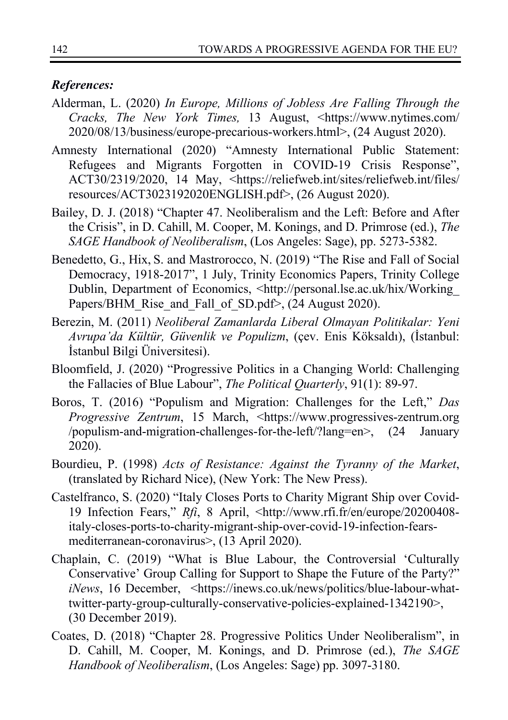### *References:*

- Alderman, L. (2020) *In Europe, Millions of Jobless Are Falling Through the Cracks, The New York Times,* 13 August, <https://www.nytimes.com/ 2020/08/13/business/europe-precarious-workers.html>, (24 August 2020).
- Amnesty International (2020) "Amnesty International Public Statement: Refugees and Migrants Forgotten in COVID-19 Crisis Response", ACT30/2319/2020, 14 May, <https://reliefweb.int/sites/reliefweb.int/files/ resources/ACT3023192020ENGLISH.pdf>, (26 August 2020).
- Bailey, D. J. (2018) "Chapter 47. Neoliberalism and the Left: Before and After the Crisis", in D. Cahill, M. Cooper, M. Konings, and D. Primrose (ed.), *The SAGE Handbook of Neoliberalism*, (Los Angeles: Sage), pp. 5273-5382.
- Benedetto, G., Hix, S. and Mastrorocco, N. (2019) "The Rise and Fall of Social Democracy, 1918-2017", 1 July, Trinity Economics Papers, Trinity College Dublin, Department of Economics, <http://personal.lse.ac.uk/hix/Working\_ Papers/BHM\_Rise\_and\_Fall\_of\_SD.pdf>, (24 August 2020).
- Berezin, M. (2011) *Neoliberal Zamanlarda Liberal Olmayan Politikalar: Yeni Avrupa'da Kültür, Güvenlik ve Populizm*, (çev. Enis Köksaldı), (İstanbul: İstanbul Bilgi Üniversitesi).
- Bloomfield, J. (2020) "Progressive Politics in a Changing World: Challenging the Fallacies of Blue Labour", *The Political Quarterly*, 91(1): 89-97.
- Boros, T. (2016) "Populism and Migration: Challenges for the Left," *Das Progressive Zentrum*, 15 March, <https://www.progressives-zentrum.org /populism-and-migration-challenges-for-the-left/?lang=en>, (24 January 2020).
- Bourdieu, P. (1998) *Acts of Resistance: Against the Tyranny of the Market*, (translated by Richard Nice), (New York: The New Press).
- Castelfranco, S. (2020) "Italy Closes Ports to Charity Migrant Ship over Covid-19 Infection Fears," *Rfi*, 8 April, <http://www.rfi.fr/en/europe/20200408 italy-closes-ports-to-charity-migrant-ship-over-covid-19-infection-fearsmediterranean-coronavirus>, (13 April 2020).
- Chaplain, C. (2019) "What is Blue Labour, the Controversial 'Culturally Conservative' Group Calling for Support to Shape the Future of the Party?" *iNews*, 16 December, <https://inews.co.uk/news/politics/blue-labour-whattwitter-party-group-culturally-conservative-policies-explained-1342190>, (30 December 2019).
- Coates, D. (2018) "Chapter 28. Progressive Politics Under Neoliberalism", in D. Cahill, M. Cooper, M. Konings, and D. Primrose (ed.), *The SAGE Handbook of Neoliberalism*, (Los Angeles: Sage) pp. 3097-3180.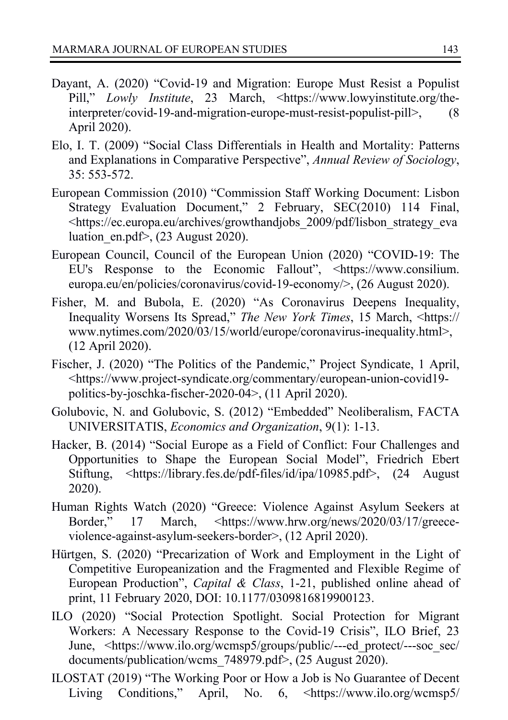- Dayant, A. (2020) "Covid-19 and Migration: Europe Must Resist a Populist Pill," *Lowly Institute*, 23 March, <https://www.lowyinstitute.org/theinterpreter/covid-19-and-migration-europe-must-resist-populist-pill>, (8 April 2020).
- Elo, I. T. (2009) "Social Class Differentials in Health and Mortality: Patterns and Explanations in Comparative Perspective", *Annual Review of Sociology*, 35: 553-572.
- European Commission (2010) "Commission Staff Working Document: Lisbon Strategy Evaluation Document," 2 February, SEC(2010) 114 Final, <https://ec.europa.eu/archives/growthandjobs\_2009/pdf/lisbon\_strategy\_eva luation en.pdf>,  $(23$  August 2020).
- European Council, Council of the European Union (2020) "COVID-19: The EU's Response to the Economic Fallout", <https://www.consilium. europa.eu/en/policies/coronavirus/covid-19-economy/>, (26 August 2020).
- Fisher, M. and Bubola, E. (2020) "As Coronavirus Deepens Inequality, Inequality Worsens Its Spread," *The New York Times*, 15 March, <https:// www.nytimes.com/2020/03/15/world/europe/coronavirus-inequality.html>, (12 April 2020).
- Fischer, J. (2020) "The Politics of the Pandemic," Project Syndicate, 1 April, <https://www.project-syndicate.org/commentary/european-union-covid19 politics-by-joschka-fischer-2020-04>, (11 April 2020).
- Golubovic, N. and Golubovic, S. (2012) "Embedded" Neoliberalism, FACTA UNIVERSITATIS, *Economics and Organization*, 9(1): 1-13.
- Hacker, B. (2014) "Social Europe as a Field of Conflict: Four Challenges and Opportunities to Shape the European Social Model", Friedrich Ebert Stiftung, <https://library.fes.de/pdf-files/id/ipa/10985.pdf>, (24 August 2020).
- Human Rights Watch (2020) "Greece: Violence Against Asylum Seekers at Border," 17 March, <https://www.hrw.org/news/2020/03/17/greeceviolence-against-asylum-seekers-border>, (12 April 2020).
- Hürtgen, S. (2020) "Precarization of Work and Employment in the Light of Competitive Europeanization and the Fragmented and Flexible Regime of European Production", *Capital & Class*, 1-21, published online ahead of print, 11 February 2020, DOI: 10.1177/0309816819900123.
- ILO (2020) "Social Protection Spotlight. Social Protection for Migrant Workers: A Necessary Response to the Covid-19 Crisis", ILO Brief, 23 June, <https://www.ilo.org/wcmsp5/groups/public/---ed\_protect/---soc\_sec/ documents/publication/wcms\_748979.pdf>, (25 August 2020).
- ILOSTAT (2019) "The Working Poor or How a Job is No Guarantee of Decent Living Conditions," April, No. 6, <https://www.ilo.org/wcmsp5/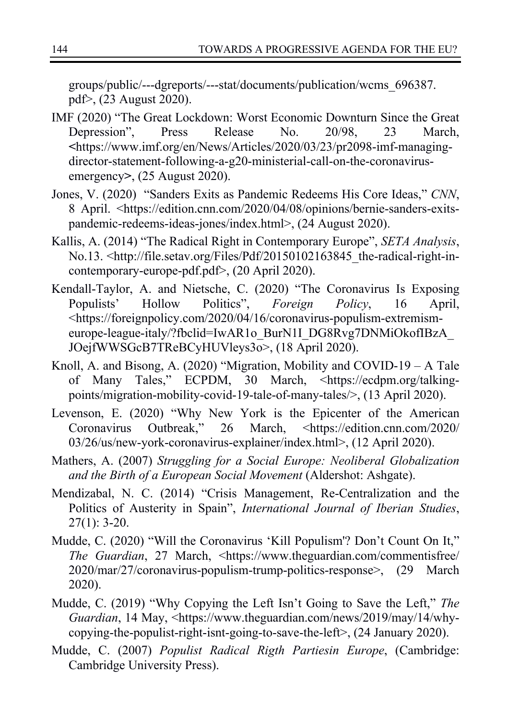groups/public/---dgreports/---stat/documents/publication/wcms\_696387. pdf>, (23 August 2020).

- IMF (2020) "The Great Lockdown: Worst Economic Downturn Since the Great Depression", Press Release No. 20/98, 23 March, **<**https://www.imf.org/en/News/Articles/2020/03/23/pr2098-imf-managingdirector-statement-following-a-g20-ministerial-call-on-the-coronavirusemergency**>**, (25 August 2020).
- Jones, V. (2020) "Sanders Exits as Pandemic Redeems His Core Ideas," *CNN*, 8 April. <https://edition.cnn.com/2020/04/08/opinions/bernie-sanders-exitspandemic-redeems-ideas-jones/index.html>, (24 August 2020).
- Kallis, A. (2014) "The Radical Right in Contemporary Europe", *SETA Analysis*, No.13. <http://file.setav.org/Files/Pdf/20150102163845\_the-radical-right-incontemporary-europe-pdf.pdf>, (20 April 2020).
- Kendall-Taylor, A. and Nietsche, C. (2020) "The Coronavirus Is Exposing Populists' Hollow Politics", *Foreign Policy*, 16 April, <https://foreignpolicy.com/2020/04/16/coronavirus-populism-extremismeurope-league-italy/?fbclid=IwAR1o\_BurN1I\_DG8Rvg7DNMiOkofIBzA\_ JOejfWWSGcB7TReBCyHUVleys3o>, (18 April 2020).
- Knoll, A. and Bisong, A. (2020) "Migration, Mobility and COVID-19 A Tale of Many Tales," ECPDM, 30 March, <https://ecdpm.org/talkingpoints/migration-mobility-covid-19-tale-of-many-tales/>, (13 April 2020).
- Levenson, E. (2020) "Why New York is the Epicenter of the American Coronavirus Outbreak," 26 March, <https://edition.cnn.com/2020/ 03/26/us/new-york-coronavirus-explainer/index.html>, (12 April 2020).
- Mathers, A. (2007) *Struggling for a Social Europe: Neoliberal Globalization and the Birth of a European Social Movement* (Aldershot: Ashgate).
- Mendizabal, N. C. (2014) "Crisis Management, Re-Centralization and the Politics of Austerity in Spain", *International Journal of Iberian Studies*,  $27(1): 3-20.$
- Mudde, C. (2020) "Will the Coronavirus 'Kill Populism'? Don't Count On It," *The Guardian*, 27 March, <https://www.theguardian.com/commentisfree/ 2020/mar/27/coronavirus-populism-trump-politics-response>, (29 March 2020).
- Mudde, C. (2019) "Why Copying the Left Isn't Going to Save the Left," *The Guardian*, 14 May, <https://www.theguardian.com/news/2019/may/14/whycopying-the-populist-right-isnt-going-to-save-the-left>, (24 January 2020).
- Mudde, C. (2007) *Populist Radical Rigth Partiesin Europe*, (Cambridge: Cambridge University Press).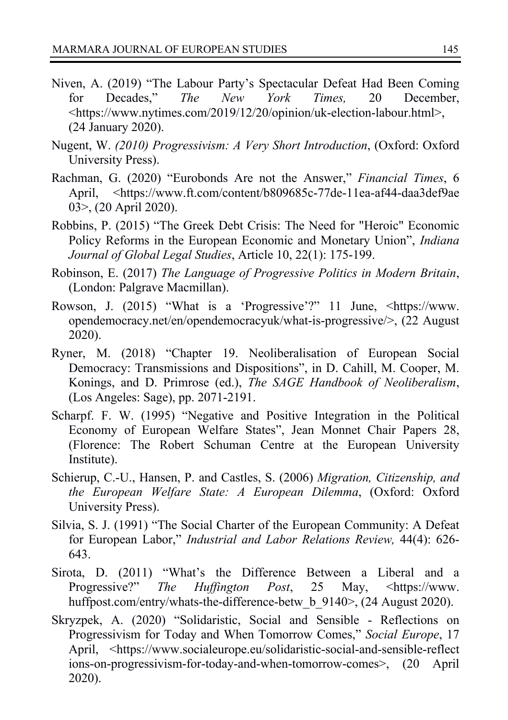- Niven, A. (2019) "The Labour Party's Spectacular Defeat Had Been Coming for Decades," *The New York Times,* 20 December, <https://www.nytimes.com/2019/12/20/opinion/uk-election-labour.html>, (24 January 2020).
- Nugent, W. *(2010) Progressivism: A Very Short Introduction*, (Oxford: Oxford University Press).
- Rachman, G. (2020) "Eurobonds Are not the Answer," *Financial Times*, 6 April, <https://www.ft.com/content/b809685c-77de-11ea-af44-daa3def9ae 03>, (20 April 2020).
- Robbins, P. (2015) "The Greek Debt Crisis: The Need for "Heroic" Economic Policy Reforms in the European Economic and Monetary Union", *Indiana Journal of Global Legal Studies*, Article 10, 22(1): 175-199.
- Robinson, E. (2017) *The Language of Progressive Politics in Modern Britain*, (London: Palgrave Macmillan).
- Rowson, J. (2015) "What is a 'Progressive'?" 11 June, <https://www. opendemocracy.net/en/opendemocracyuk/what-is-progressive/>, (22 August 2020).
- Ryner, M. (2018) "Chapter 19. Neoliberalisation of European Social Democracy: Transmissions and Dispositions", in D. Cahill, M. Cooper, M. Konings, and D. Primrose (ed.), *The SAGE Handbook of Neoliberalism*, (Los Angeles: Sage), pp. 2071-2191.
- Scharpf. F. W. (1995) "Negative and Positive Integration in the Political Economy of European Welfare States", Jean Monnet Chair Papers 28, (Florence: The Robert Schuman Centre at the European University Institute).
- Schierup, C.-U., Hansen, P. and Castles, S. (2006) *Migration, Citizenship, and the European Welfare State: A European Dilemma*, (Oxford: Oxford University Press).
- Silvia, S. J. (1991) "The Social Charter of the European Community: A Defeat for European Labor," *Industrial and Labor Relations Review,* 44(4): 626- 643.
- Sirota, D. (2011) "What's the Difference Between a Liberal and a Progressive?" *The Huffington Post*, 25 May, <https://www. huffpost.com/entry/whats-the-difference-betw\_b\_9140>, (24 August 2020).
- Skryzpek, A. (2020) "Solidaristic, Social and Sensible Reflections on Progressivism for Today and When Tomorrow Comes," *Social Europe*, 17 April, <https://www.socialeurope.eu/solidaristic-social-and-sensible-reflect ions-on-progressivism-for-today-and-when-tomorrow-comes>, (20 April 2020).